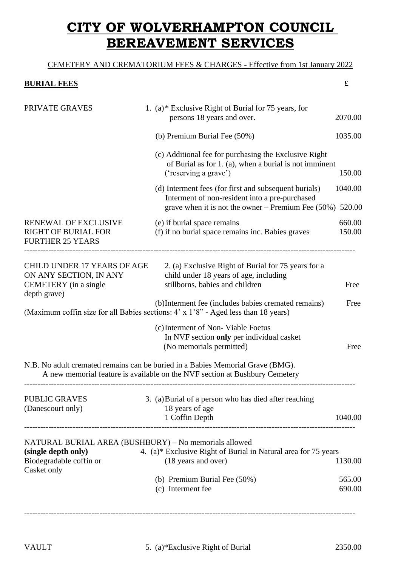## **CITY OF WOLVERHAMPTON COUNCIL BEREAVEMENT SERVICES**

## CEMETERY AND CREMATORIUM FEES & CHARGES - Effective from 1st January 2022

## **BURIAL FEES £**

| PRIVATE GRAVES                                                                                 | 1. (a)* Exclusive Right of Burial for 75 years, for<br>persons 18 years and over.                                                                                | 2070.00           |
|------------------------------------------------------------------------------------------------|------------------------------------------------------------------------------------------------------------------------------------------------------------------|-------------------|
|                                                                                                | (b) Premium Burial Fee (50%)                                                                                                                                     | 1035.00           |
|                                                                                                | (c) Additional fee for purchasing the Exclusive Right<br>of Burial as for 1. (a), when a burial is not imminent<br>('reserving a grave')                         | 150.00            |
|                                                                                                | (d) Interment fees (for first and subsequent burials)<br>Interment of non-resident into a pre-purchased<br>grave when it is not the owner – Premium Fee $(50\%)$ | 1040.00<br>520.00 |
| RENEWAL OF EXCLUSIVE<br><b>RIGHT OF BURIAL FOR</b><br><b>FURTHER 25 YEARS</b>                  | (e) if burial space remains<br>(f) if no burial space remains inc. Babies graves                                                                                 | 660.00<br>150.00  |
| CHILD UNDER 17 YEARS OF AGE<br>ON ANY SECTION, IN ANY<br>CEMETERY (in a single<br>depth grave) | 2. (a) Exclusive Right of Burial for 75 years for a<br>child under 18 years of age, including<br>stillborns, babies and children                                 | Free              |
|                                                                                                | (b) Interment fee (includes babies cremated remains)<br>(Maximum coffin size for all Babies sections: 4' x 1'8" - Aged less than 18 years)                       | Free              |
|                                                                                                | (c) Interment of Non-Viable Foetus<br>In NVF section only per individual casket<br>(No memorials permitted)                                                      | Free              |
|                                                                                                | N.B. No adult cremated remains can be buried in a Babies Memorial Grave (BMG).<br>A new memorial feature is available on the NVF section at Bushbury Cemetery    |                   |
| <b>PUBLIC GRAVES</b><br>(Danescourt only)                                                      | 3. (a) Burial of a person who has died after reaching<br>18 years of age<br>1 Coffin Depth                                                                       | 1040.00           |
| (single depth only)<br>Biodegradable coffin or                                                 | NATURAL BURIAL AREA (BUSHBURY) - No memorials allowed<br>4. (a)* Exclusive Right of Burial in Natural area for 75 years<br>(18 years and over)                   | 1130.00           |
| Casket only                                                                                    | (b) Premium Burial Fee (50%)<br>(c) Interment fee                                                                                                                | 565.00<br>690.00  |
|                                                                                                |                                                                                                                                                                  |                   |

---------------------------------------------------------------------------------------------------------------------------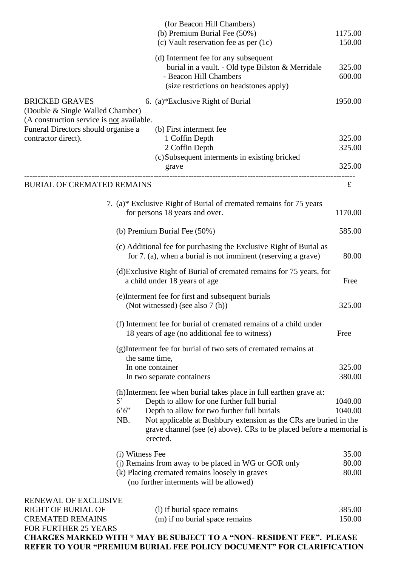|                                                                                                        |                                                                                        | (for Beacon Hill Chambers)                                                                                                                            |         |
|--------------------------------------------------------------------------------------------------------|----------------------------------------------------------------------------------------|-------------------------------------------------------------------------------------------------------------------------------------------------------|---------|
|                                                                                                        |                                                                                        | (b) Premium Burial Fee (50%)                                                                                                                          | 1175.00 |
|                                                                                                        |                                                                                        | (c) Vault reservation fee as per (1c)                                                                                                                 | 150.00  |
|                                                                                                        |                                                                                        | (d) Interment fee for any subsequent                                                                                                                  |         |
|                                                                                                        |                                                                                        | burial in a vault. - Old type Bilston & Merridale                                                                                                     | 325.00  |
|                                                                                                        |                                                                                        | - Beacon Hill Chambers                                                                                                                                | 600.00  |
|                                                                                                        |                                                                                        | (size restrictions on headstones apply)                                                                                                               |         |
| <b>BRICKED GRAVES</b><br>(Double & Single Walled Chamber)<br>(A construction service is not available. |                                                                                        | 6. (a)*Exclusive Right of Burial                                                                                                                      | 1950.00 |
| Funeral Directors should organise a                                                                    |                                                                                        | (b) First interment fee                                                                                                                               |         |
| contractor direct).                                                                                    |                                                                                        | 1 Coffin Depth                                                                                                                                        | 325.00  |
|                                                                                                        |                                                                                        | 2 Coffin Depth                                                                                                                                        | 325.00  |
|                                                                                                        |                                                                                        | (c) Subsequent interments in existing bricked                                                                                                         |         |
|                                                                                                        |                                                                                        | grave                                                                                                                                                 | 325.00  |
| <b>BURIAL OF CREMATED REMAINS</b>                                                                      |                                                                                        |                                                                                                                                                       | £       |
|                                                                                                        |                                                                                        | 7. (a)* Exclusive Right of Burial of cremated remains for 75 years                                                                                    |         |
|                                                                                                        |                                                                                        | for persons 18 years and over.                                                                                                                        | 1170.00 |
| (b) Premium Burial Fee (50%)                                                                           |                                                                                        | 585.00                                                                                                                                                |         |
|                                                                                                        |                                                                                        | (c) Additional fee for purchasing the Exclusive Right of Burial as<br>for 7. (a), when a burial is not imminent (reserving a grave)                   | 80.00   |
|                                                                                                        |                                                                                        | (d) Exclusive Right of Burial of cremated remains for 75 years, for<br>a child under 18 years of age                                                  | Free    |
|                                                                                                        | (e) Interment fee for first and subsequent burials<br>(Not witnessed) (see also 7 (h)) |                                                                                                                                                       |         |
|                                                                                                        |                                                                                        |                                                                                                                                                       | 325.00  |
|                                                                                                        |                                                                                        | (f) Interment fee for burial of cremated remains of a child under<br>18 years of age (no additional fee to witness)                                   | Free    |
|                                                                                                        |                                                                                        | (g) Interment fee for burial of two sets of cremated remains at                                                                                       |         |
|                                                                                                        | the same time,                                                                         |                                                                                                                                                       |         |
|                                                                                                        | In one container                                                                       |                                                                                                                                                       | 325.00  |
|                                                                                                        |                                                                                        | In two separate containers                                                                                                                            | 380.00  |
|                                                                                                        |                                                                                        | (h) Interment fee when burial takes place in full earthen grave at:                                                                                   |         |
|                                                                                                        | $5^{\circ}$                                                                            | Depth to allow for one further full burial                                                                                                            | 1040.00 |
|                                                                                                        | $6.6$ "                                                                                | Depth to allow for two further full burials                                                                                                           | 1040.00 |
|                                                                                                        | NB.                                                                                    | Not applicable at Bushbury extension as the CRs are buried in the<br>grave channel (see (e) above). CRs to be placed before a memorial is<br>erected. |         |
|                                                                                                        | (i) Witness Fee                                                                        |                                                                                                                                                       | 35.00   |
|                                                                                                        |                                                                                        | (j) Remains from away to be placed in WG or GOR only                                                                                                  | 80.00   |
|                                                                                                        |                                                                                        | (k) Placing cremated remains loosely in graves<br>(no further interments will be allowed)                                                             | 80.00   |
| <b>RENEWAL OF EXCLUSIVE</b>                                                                            |                                                                                        |                                                                                                                                                       |         |
| <b>RIGHT OF BURIAL OF</b>                                                                              |                                                                                        | (1) if burial space remains                                                                                                                           | 385.00  |
| <b>CREMATED REMAINS</b>                                                                                |                                                                                        | (m) if no burial space remains                                                                                                                        | 150.00  |
| <b>FOR FURTHER 25 YEARS</b>                                                                            |                                                                                        |                                                                                                                                                       |         |
|                                                                                                        |                                                                                        | <b>CHARGES MARKED WITH * MAY BE SUBJECT TO A "NON- RESIDENT FEE". PLEASE</b>                                                                          |         |

**REFER TO YOUR "PREMIUM BURIAL FEE POLICY DOCUMENT" FOR CLARIFICATION**